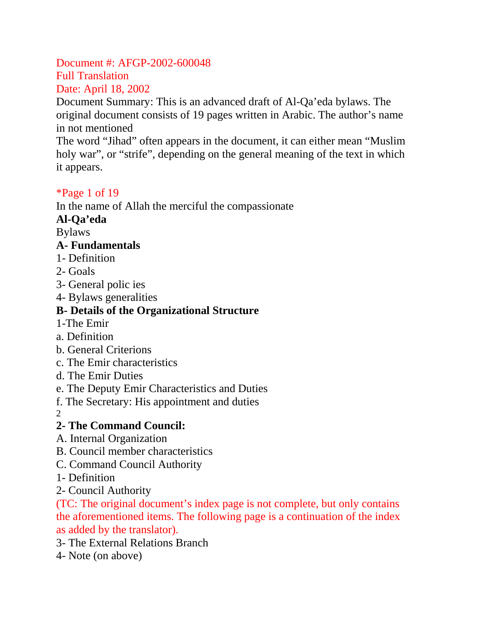Document #: AFGP-2002-600048 Full Translation Date: April 18, 2002

Document Summary: This is an advanced draft of Al-Qa'eda bylaws. The original document consists of 19 pages written in Arabic. The author's name in not mentioned

The word "Jihad" often appears in the document, it can either mean "Muslim holy war", or "strife", depending on the general meaning of the text in which it appears.

### \*Page 1 of 19

In the name of Allah the merciful the compassionate

### **Al-Qa'eda**

Bylaws

### **A- Fundamentals**

- 1- Definition
- 2- Goals
- 3- General polic ies
- 4- Bylaws generalities

# **B- Details of the Organizational Structure**

- 1-The Emir
- a. Definition
- b. General Criterions
- c. The Emir characteristics
- d. The Emir Duties
- e. The Deputy Emir Characteristics and Duties
- f. The Secretary: His appointment and duties
- 2

# **2- The Command Council:**

- A. Internal Organization
- B. Council member characteristics
- C. Command Council Authority
- 1- Definition
- 2- Council Authority

(TC: The original document's index page is not complete, but only contains the aforementioned items. The following page is a continuation of the index as added by the translator).

- 3- The External Relations Branch
- 4- Note (on above)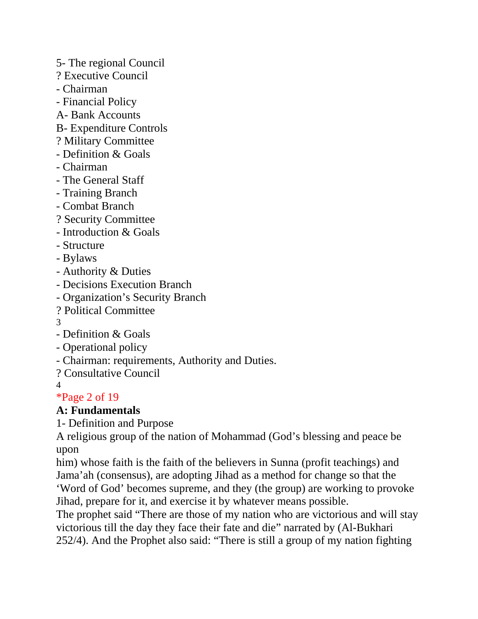- 5- The regional Council
- ? Executive Council
- Chairman
- Financial Policy
- A- Bank Accounts
- B- Expenditure Controls
- ? Military Committee
- Definition & Goals
- Chairman
- The General Staff
- Training Branch
- Combat Branch
- ? Security Committee
- Introduction & Goals
- Structure
- Bylaws
- Authority & Duties
- Decisions Execution Branch
- Organization's Security Branch
- ? Political Committee
- 3
- Definition & Goals
- Operational policy
- Chairman: requirements, Authority and Duties.
- ? Consultative Council
- 4

\*Page 2 of 19

### **A: Fundamentals**

1- Definition and Purpose

A religious group of the nation of Mohammad (God's blessing and peace be upon

him) whose faith is the faith of the believers in Sunna (profit teachings) and Jama'ah (consensus), are adopting Jihad as a method for change so that the 'Word of God' becomes supreme, and they (the group) are working to provoke Jihad, prepare for it, and exercise it by whatever means possible.

The prophet said "There are those of my nation who are victorious and will stay victorious till the day they face their fate and die" narrated by (Al-Bukhari 252/4). And the Prophet also said: "There is still a group of my nation fighting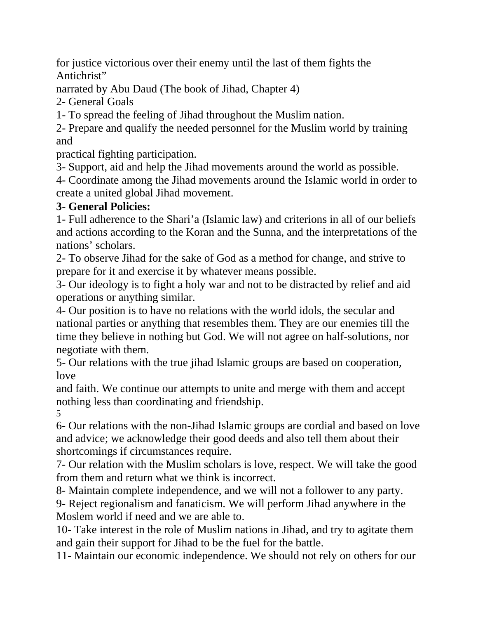for justice victorious over their enemy until the last of them fights the Antichrist"

narrated by Abu Daud (The book of Jihad, Chapter 4)

2- General Goals

1- To spread the feeling of Jihad throughout the Muslim nation.

2- Prepare and qualify the needed personnel for the Muslim world by training and

practical fighting participation.

3- Support, aid and help the Jihad movements around the world as possible.

4- Coordinate among the Jihad movements around the Islamic world in order to create a united global Jihad movement.

### **3- General Policies:**

1- Full adherence to the Shari'a (Islamic law) and criterions in all of our beliefs and actions according to the Koran and the Sunna, and the interpretations of the nations' scholars.

2- To observe Jihad for the sake of God as a method for change, and strive to prepare for it and exercise it by whatever means possible.

3- Our ideology is to fight a holy war and not to be distracted by relief and aid operations or anything similar.

4- Our position is to have no relations with the world idols, the secular and national parties or anything that resembles them. They are our enemies till the time they believe in nothing but God. We will not agree on half-solutions, nor negotiate with them.

5- Our relations with the true jihad Islamic groups are based on cooperation, love

and faith. We continue our attempts to unite and merge with them and accept nothing less than coordinating and friendship.

5

6- Our relations with the non-Jihad Islamic groups are cordial and based on love and advice; we acknowledge their good deeds and also tell them about their shortcomings if circumstances require.

7- Our relation with the Muslim scholars is love, respect. We will take the good from them and return what we think is incorrect.

8- Maintain complete independence, and we will not a follower to any party.

9- Reject regionalism and fanaticism. We will perform Jihad anywhere in the Moslem world if need and we are able to.

10- Take interest in the role of Muslim nations in Jihad, and try to agitate them and gain their support for Jihad to be the fuel for the battle.

11- Maintain our economic independence. We should not rely on others for our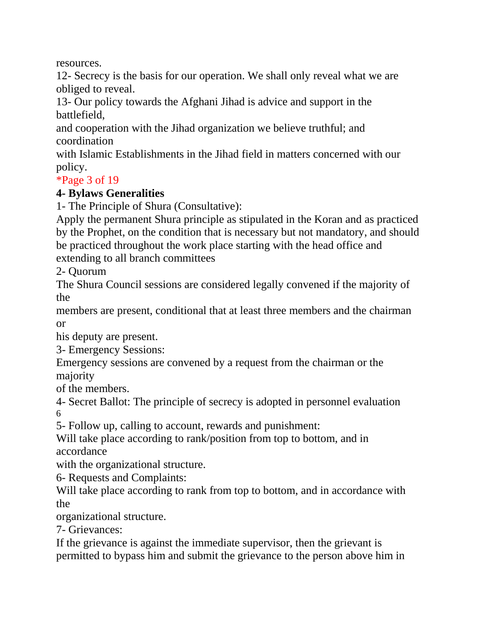resources.

12- Secrecy is the basis for our operation. We shall only reveal what we are obliged to reveal.

13- Our policy towards the Afghani Jihad is advice and support in the battlefield,

and cooperation with the Jihad organization we believe truthful; and coordination

with Islamic Establishments in the Jihad field in matters concerned with our policy.

### \*Page 3 of 19

### **4- Bylaws Generalities**

1- The Principle of Shura (Consultative):

Apply the permanent Shura principle as stipulated in the Koran and as practiced by the Prophet, on the condition that is necessary but not mandatory, and should be practiced throughout the work place starting with the head office and extending to all branch committees

2- Quorum

The Shura Council sessions are considered legally convened if the majority of the

members are present, conditional that at least three members and the chairman or

his deputy are present.

3- Emergency Sessions:

Emergency sessions are convened by a request from the chairman or the majority

of the members.

4- Secret Ballot: The principle of secrecy is adopted in personnel evaluation 6

5- Follow up, calling to account, rewards and punishment:

Will take place according to rank/position from top to bottom, and in accordance

with the organizational structure.

6- Requests and Complaints:

Will take place according to rank from top to bottom, and in accordance with the

organizational structure.

7- Grievances:

If the grievance is against the immediate supervisor, then the grievant is permitted to bypass him and submit the grievance to the person above him in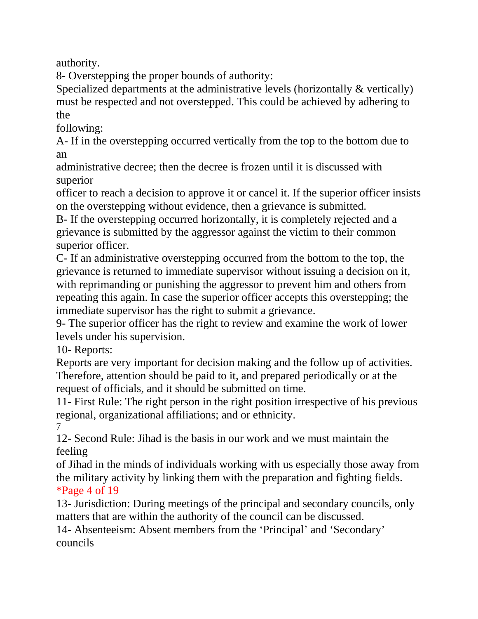authority.

8- Overstepping the proper bounds of authority:

Specialized departments at the administrative levels (horizontally & vertically) must be respected and not overstepped. This could be achieved by adhering to the

following:

A- If in the overstepping occurred vertically from the top to the bottom due to an

administrative decree; then the decree is frozen until it is discussed with superior

officer to reach a decision to approve it or cancel it. If the superior officer insists on the overstepping without evidence, then a grievance is submitted.

B- If the overstepping occurred horizontally, it is completely rejected and a grievance is submitted by the aggressor against the victim to their common superior officer.

C- If an administrative overstepping occurred from the bottom to the top, the grievance is returned to immediate supervisor without issuing a decision on it, with reprimanding or punishing the aggressor to prevent him and others from repeating this again. In case the superior officer accepts this overstepping; the immediate supervisor has the right to submit a grievance.

9- The superior officer has the right to review and examine the work of lower levels under his supervision.

10- Reports:

Reports are very important for decision making and the follow up of activities. Therefore, attention should be paid to it, and prepared periodically or at the request of officials, and it should be submitted on time.

11- First Rule: The right person in the right position irrespective of his previous regional, organizational affiliations; and or ethnicity. 7

12- Second Rule: Jihad is the basis in our work and we must maintain the feeling

of Jihad in the minds of individuals working with us especially those away from the military activity by linking them with the preparation and fighting fields. \*Page 4 of 19

13- Jurisdiction: During meetings of the principal and secondary councils, only matters that are within the authority of the council can be discussed.

14- Absenteeism: Absent members from the 'Principal' and 'Secondary' councils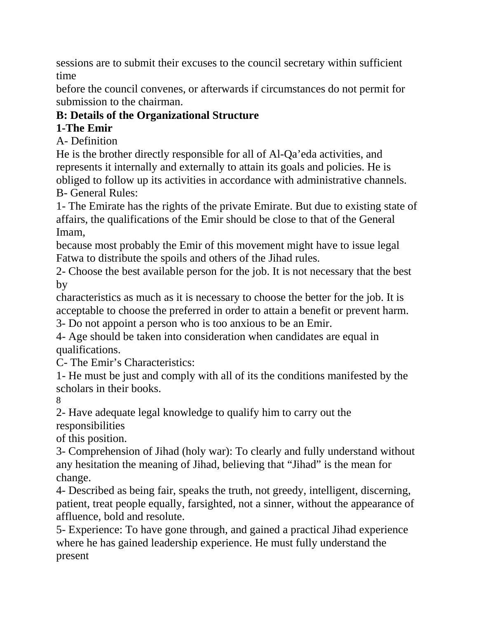sessions are to submit their excuses to the council secretary within sufficient time

before the council convenes, or afterwards if circumstances do not permit for submission to the chairman.

## **B: Details of the Organizational Structure**

## **1-The Emir**

A- Definition

He is the brother directly responsible for all of Al-Qa'eda activities, and represents it internally and externally to attain its goals and policies. He is obliged to follow up its activities in accordance with administrative channels. B- General Rules:

1- The Emirate has the rights of the private Emirate. But due to existing state of affairs, the qualifications of the Emir should be close to that of the General Imam,

because most probably the Emir of this movement might have to issue legal Fatwa to distribute the spoils and others of the Jihad rules.

2- Choose the best available person for the job. It is not necessary that the best by

characteristics as much as it is necessary to choose the better for the job. It is acceptable to choose the preferred in order to attain a benefit or prevent harm. 3- Do not appoint a person who is too anxious to be an Emir.

4- Age should be taken into consideration when candidates are equal in qualifications.

C- The Emir's Characteristics:

1- He must be just and comply with all of its the conditions manifested by the scholars in their books.

8

2- Have adequate legal knowledge to qualify him to carry out the responsibilities

of this position.

3- Comprehension of Jihad (holy war): To clearly and fully understand without any hesitation the meaning of Jihad, believing that "Jihad" is the mean for change.

4- Described as being fair, speaks the truth, not greedy, intelligent, discerning, patient, treat people equally, farsighted, not a sinner, without the appearance of affluence, bold and resolute.

5- Experience: To have gone through, and gained a practical Jihad experience where he has gained leadership experience. He must fully understand the present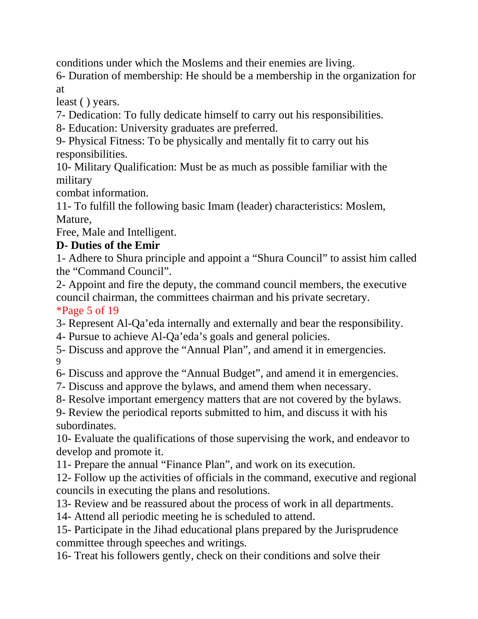conditions under which the Moslems and their enemies are living.

6- Duration of membership: He should be a membership in the organization for at

least ( ) years.

7- Dedication: To fully dedicate himself to carry out his responsibilities.

8- Education: University graduates are preferred.

9- Physical Fitness: To be physically and mentally fit to carry out his responsibilities.

10- Military Qualification: Must be as much as possible familiar with the military

combat information.

11- To fulfill the following basic Imam (leader) characteristics: Moslem, Mature,

Free, Male and Intelligent.

### **D- Duties of the Emir**

1- Adhere to Shura principle and appoint a "Shura Council" to assist him called the "Command Council".

2- Appoint and fire the deputy, the command council members, the executive council chairman, the committees chairman and his private secretary. \*Page 5 of 19

3- Represent Al-Qa'eda internally and externally and bear the responsibility.

4- Pursue to achieve Al-Qa'eda's goals and general policies.

5- Discuss and approve the "Annual Plan", and amend it in emergencies. 9

6- Discuss and approve the "Annual Budget", and amend it in emergencies.

- 7- Discuss and approve the bylaws, and amend them when necessary.
- 8- Resolve important emergency matters that are not covered by the bylaws.

9- Review the periodical reports submitted to him, and discuss it with his subordinates.

10- Evaluate the qualifications of those supervising the work, and endeavor to develop and promote it.

11- Prepare the annual "Finance Plan", and work on its execution.

12- Follow up the activities of officials in the command, executive and regional councils in executing the plans and resolutions.

13- Review and be reassured about the process of work in all departments.

14- Attend all periodic meeting he is scheduled to attend.

15- Participate in the Jihad educational plans prepared by the Jurisprudence committee through speeches and writings.

16- Treat his followers gently, check on their conditions and solve their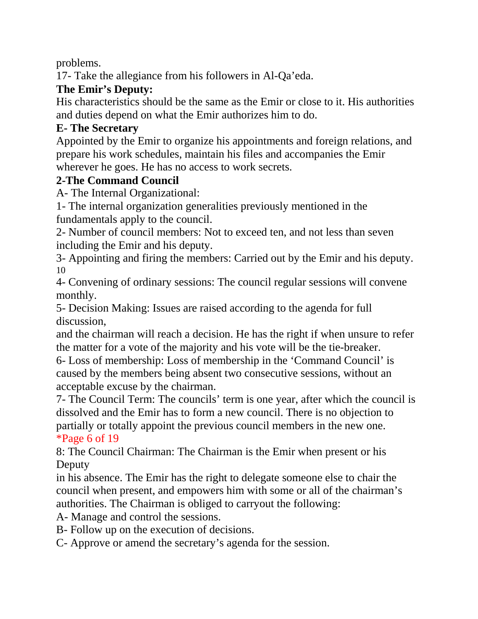problems.

17- Take the allegiance from his followers in Al-Qa'eda.

## **The Emir's Deputy:**

His characteristics should be the same as the Emir or close to it. His authorities and duties depend on what the Emir authorizes him to do.

## **E- The Secretary**

Appointed by the Emir to organize his appointments and foreign relations, and prepare his work schedules, maintain his files and accompanies the Emir wherever he goes. He has no access to work secrets.

### **2-The Command Council**

A- The Internal Organizational:

1- The internal organization generalities previously mentioned in the fundamentals apply to the council.

2- Number of council members: Not to exceed ten, and not less than seven including the Emir and his deputy.

3- Appointing and firing the members: Carried out by the Emir and his deputy. 10

4- Convening of ordinary sessions: The council regular sessions will convene monthly.

5- Decision Making: Issues are raised according to the agenda for full discussion,

and the chairman will reach a decision. He has the right if when unsure to refer the matter for a vote of the majority and his vote will be the tie-breaker.

6- Loss of membership: Loss of membership in the 'Command Council' is caused by the members being absent two consecutive sessions, without an acceptable excuse by the chairman.

7- The Council Term: The councils' term is one year, after which the council is dissolved and the Emir has to form a new council. There is no objection to partially or totally appoint the previous council members in the new one. \*Page 6 of 19

8: The Council Chairman: The Chairman is the Emir when present or his Deputy

in his absence. The Emir has the right to delegate someone else to chair the council when present, and empowers him with some or all of the chairman's authorities. The Chairman is obliged to carryout the following:

A- Manage and control the sessions.

B- Follow up on the execution of decisions.

C- Approve or amend the secretary's agenda for the session.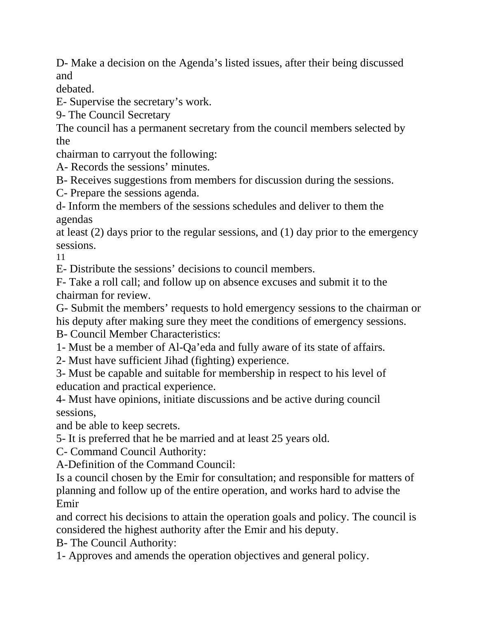D- Make a decision on the Agenda's listed issues, after their being discussed and

debated.

E- Supervise the secretary's work.

9- The Council Secretary

The council has a permanent secretary from the council members selected by the

chairman to carryout the following:

A- Records the sessions' minutes.

B- Receives suggestions from members for discussion during the sessions.

C- Prepare the sessions agenda.

d- Inform the members of the sessions schedules and deliver to them the agendas

at least (2) days prior to the regular sessions, and (1) day prior to the emergency sessions.

11

E- Distribute the sessions' decisions to council members.

F- Take a roll call; and follow up on absence excuses and submit it to the chairman for review.

G- Submit the members' requests to hold emergency sessions to the chairman or his deputy after making sure they meet the conditions of emergency sessions.

B- Council Member Characteristics:

1- Must be a member of Al-Qa'eda and fully aware of its state of affairs.

2- Must have sufficient Jihad (fighting) experience.

3- Must be capable and suitable for membership in respect to his level of education and practical experience.

4- Must have opinions, initiate discussions and be active during council sessions,

and be able to keep secrets.

5- It is preferred that he be married and at least 25 years old.

C- Command Council Authority:

A-Definition of the Command Council:

Is a council chosen by the Emir for consultation; and responsible for matters of planning and follow up of the entire operation, and works hard to advise the Emir

and correct his decisions to attain the operation goals and policy. The council is considered the highest authority after the Emir and his deputy.

B- The Council Authority:

1- Approves and amends the operation objectives and general policy.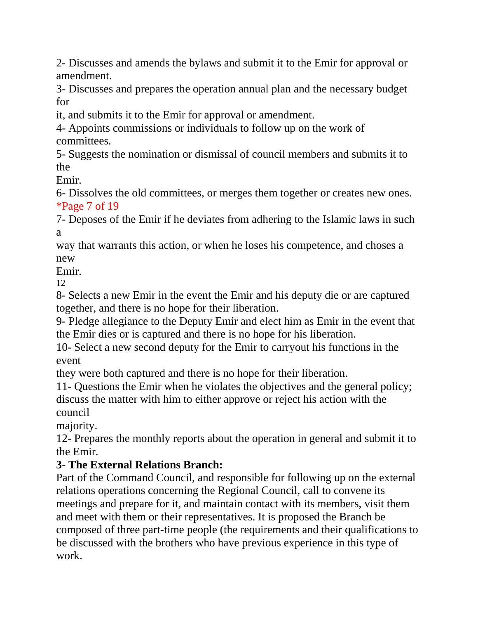2- Discusses and amends the bylaws and submit it to the Emir for approval or amendment.

3- Discusses and prepares the operation annual plan and the necessary budget for

it, and submits it to the Emir for approval or amendment.

4- Appoints commissions or individuals to follow up on the work of committees.

5- Suggests the nomination or dismissal of council members and submits it to the

Emir.

6- Dissolves the old committees, or merges them together or creates new ones. \*Page 7 of 19

7- Deposes of the Emir if he deviates from adhering to the Islamic laws in such a

way that warrants this action, or when he loses his competence, and choses a new

Emir.

12

8- Selects a new Emir in the event the Emir and his deputy die or are captured together, and there is no hope for their liberation.

9- Pledge allegiance to the Deputy Emir and elect him as Emir in the event that the Emir dies or is captured and there is no hope for his liberation.

10- Select a new second deputy for the Emir to carryout his functions in the event

they were both captured and there is no hope for their liberation.

11- Questions the Emir when he violates the objectives and the general policy; discuss the matter with him to either approve or reject his action with the council

majority.

12- Prepares the monthly reports about the operation in general and submit it to the Emir.

### **3- The External Relations Branch:**

Part of the Command Council, and responsible for following up on the external relations operations concerning the Regional Council, call to convene its meetings and prepare for it, and maintain contact with its members, visit them and meet with them or their representatives. It is proposed the Branch be composed of three part-time people (the requirements and their qualifications to be discussed with the brothers who have previous experience in this type of work.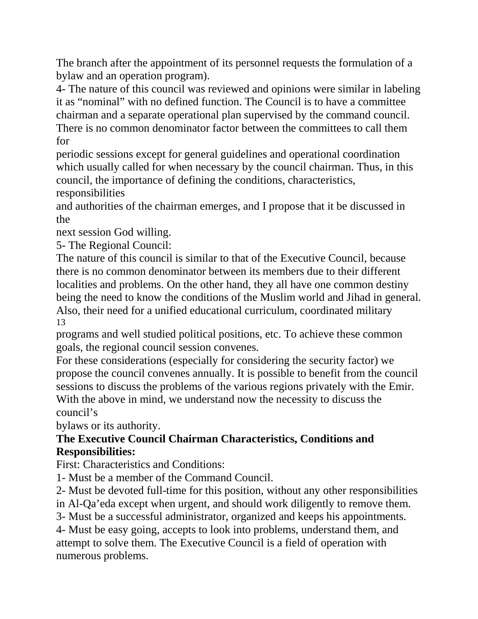The branch after the appointment of its personnel requests the formulation of a bylaw and an operation program).

4- The nature of this council was reviewed and opinions were similar in labeling it as "nominal" with no defined function. The Council is to have a committee chairman and a separate operational plan supervised by the command council. There is no common denominator factor between the committees to call them for

periodic sessions except for general guidelines and operational coordination which usually called for when necessary by the council chairman. Thus, in this council, the importance of defining the conditions, characteristics, responsibilities

and authorities of the chairman emerges, and I propose that it be discussed in the

next session God willing.

5- The Regional Council:

The nature of this council is similar to that of the Executive Council, because there is no common denominator between its members due to their different localities and problems. On the other hand, they all have one common destiny being the need to know the conditions of the Muslim world and Jihad in general. Also, their need for a unified educational curriculum, coordinated military 13

programs and well studied political positions, etc. To achieve these common goals, the regional council session convenes.

For these considerations (especially for considering the security factor) we propose the council convenes annually. It is possible to benefit from the council sessions to discuss the problems of the various regions privately with the Emir. With the above in mind, we understand now the necessity to discuss the council's

bylaws or its authority.

### **The Executive Council Chairman Characteristics, Conditions and Responsibilities:**

First: Characteristics and Conditions:

1- Must be a member of the Command Council.

2- Must be devoted full-time for this position, without any other responsibilities in Al-Qa'eda except when urgent, and should work diligently to remove them.

3- Must be a successful administrator, organized and keeps his appointments.

4- Must be easy going, accepts to look into problems, understand them, and attempt to solve them. The Executive Council is a field of operation with numerous problems.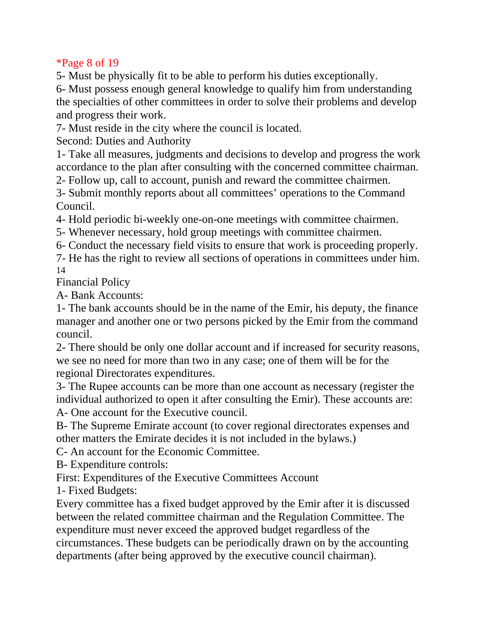\*Page 8 of 19

5- Must be physically fit to be able to perform his duties exceptionally.

6- Must possess enough general knowledge to qualify him from understanding the specialties of other committees in order to solve their problems and develop and progress their work.

7- Must reside in the city where the council is located.

Second: Duties and Authority

1- Take all measures, judgments and decisions to develop and progress the work accordance to the plan after consulting with the concerned committee chairman.

2- Follow up, call to account, punish and reward the committee chairmen.

3- Submit monthly reports about all committees' operations to the Command Council.

4- Hold periodic bi-weekly one-on-one meetings with committee chairmen.

5- Whenever necessary, hold group meetings with committee chairmen.

6- Conduct the necessary field visits to ensure that work is proceeding properly.

7- He has the right to review all sections of operations in committees under him. 14

Financial Policy

A- Bank Accounts:

1- The bank accounts should be in the name of the Emir, his deputy, the finance manager and another one or two persons picked by the Emir from the command council.

2- There should be only one dollar account and if increased for security reasons, we see no need for more than two in any case; one of them will be for the regional Directorates expenditures.

3- The Rupee accounts can be more than one account as necessary (register the individual authorized to open it after consulting the Emir). These accounts are: A- One account for the Executive council.

B- The Supreme Emirate account (to cover regional directorates expenses and other matters the Emirate decides it is not included in the bylaws.)

C- An account for the Economic Committee.

B- Expenditure controls:

First: Expenditures of the Executive Committees Account

1- Fixed Budgets:

Every committee has a fixed budget approved by the Emir after it is discussed between the related committee chairman and the Regulation Committee. The expenditure must never exceed the approved budget regardless of the circumstances. These budgets can be periodically drawn on by the accounting departments (after being approved by the executive council chairman).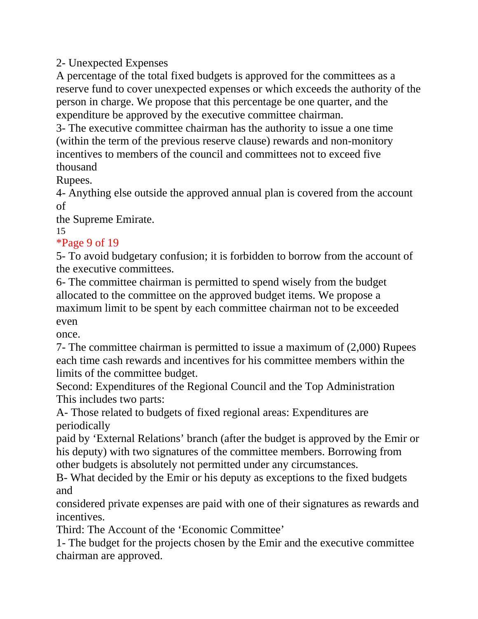2- Unexpected Expenses

A percentage of the total fixed budgets is approved for the committees as a reserve fund to cover unexpected expenses or which exceeds the authority of the person in charge. We propose that this percentage be one quarter, and the expenditure be approved by the executive committee chairman.

3- The executive committee chairman has the authority to issue a one time (within the term of the previous reserve clause) rewards and non-monitory incentives to members of the council and committees not to exceed five thousand

Rupees.

4- Anything else outside the approved annual plan is covered from the account of

the Supreme Emirate.

15

### \*Page 9 of 19

5- To avoid budgetary confusion; it is forbidden to borrow from the account of the executive committees.

6- The committee chairman is permitted to spend wisely from the budget allocated to the committee on the approved budget items. We propose a maximum limit to be spent by each committee chairman not to be exceeded even

once.

7- The committee chairman is permitted to issue a maximum of (2,000) Rupees each time cash rewards and incentives for his committee members within the limits of the committee budget.

Second: Expenditures of the Regional Council and the Top Administration This includes two parts:

A- Those related to budgets of fixed regional areas: Expenditures are periodically

paid by 'External Relations' branch (after the budget is approved by the Emir or his deputy) with two signatures of the committee members. Borrowing from other budgets is absolutely not permitted under any circumstances.

B- What decided by the Emir or his deputy as exceptions to the fixed budgets and

considered private expenses are paid with one of their signatures as rewards and incentives.

Third: The Account of the 'Economic Committee'

1- The budget for the projects chosen by the Emir and the executive committee chairman are approved.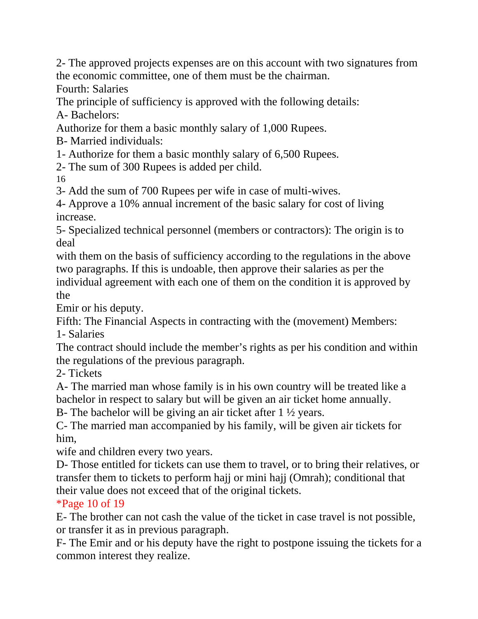2- The approved projects expenses are on this account with two signatures from the economic committee, one of them must be the chairman.

Fourth: Salaries

The principle of sufficiency is approved with the following details: A- Bachelors:

Authorize for them a basic monthly salary of 1,000 Rupees.

B- Married individuals:

1- Authorize for them a basic monthly salary of 6,500 Rupees.

2- The sum of 300 Rupees is added per child.

16

3- Add the sum of 700 Rupees per wife in case of multi-wives.

4- Approve a 10% annual increment of the basic salary for cost of living increase.

5- Specialized technical personnel (members or contractors): The origin is to deal

with them on the basis of sufficiency according to the regulations in the above two paragraphs. If this is undoable, then approve their salaries as per the individual agreement with each one of them on the condition it is approved by the

Emir or his deputy.

Fifth: The Financial Aspects in contracting with the (movement) Members: 1- Salaries

The contract should include the member's rights as per his condition and within the regulations of the previous paragraph.

2- Tickets

A- The married man whose family is in his own country will be treated like a bachelor in respect to salary but will be given an air ticket home annually.

B- The bachelor will be giving an air ticket after 1 ½ years.

C- The married man accompanied by his family, will be given air tickets for him,

wife and children every two years.

D- Those entitled for tickets can use them to travel, or to bring their relatives, or transfer them to tickets to perform hajj or mini hajj (Omrah); conditional that their value does not exceed that of the original tickets.

\*Page 10 of 19

E- The brother can not cash the value of the ticket in case travel is not possible, or transfer it as in previous paragraph.

F- The Emir and or his deputy have the right to postpone issuing the tickets for a common interest they realize.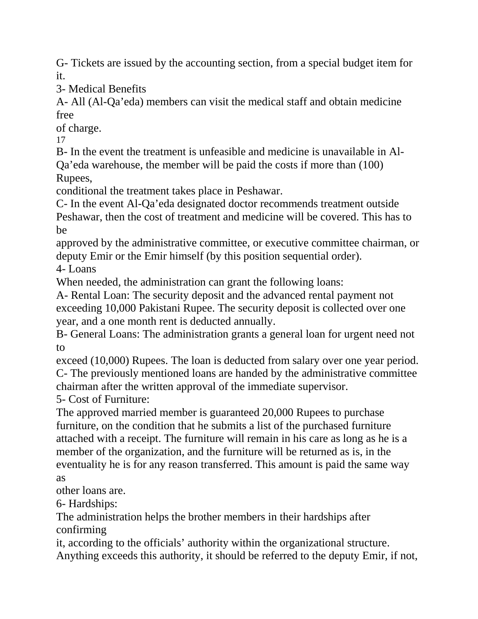G- Tickets are issued by the accounting section, from a special budget item for it.

3- Medical Benefits

A- All (Al-Qa'eda) members can visit the medical staff and obtain medicine free

of charge.

17

B- In the event the treatment is unfeasible and medicine is unavailable in Al-Qa'eda warehouse, the member will be paid the costs if more than (100) Rupees,

conditional the treatment takes place in Peshawar.

C- In the event Al-Qa'eda designated doctor recommends treatment outside Peshawar, then the cost of treatment and medicine will be covered. This has to be

approved by the administrative committee, or executive committee chairman, or deputy Emir or the Emir himself (by this position sequential order). 4- Loans

When needed, the administration can grant the following loans:

A- Rental Loan: The security deposit and the advanced rental payment not exceeding 10,000 Pakistani Rupee. The security deposit is collected over one year, and a one month rent is deducted annually.

B- General Loans: The administration grants a general loan for urgent need not to

exceed (10,000) Rupees. The loan is deducted from salary over one year period. C- The previously mentioned loans are handed by the administrative committee chairman after the written approval of the immediate supervisor.

5- Cost of Furniture:

The approved married member is guaranteed 20,000 Rupees to purchase furniture, on the condition that he submits a list of the purchased furniture attached with a receipt. The furniture will remain in his care as long as he is a member of the organization, and the furniture will be returned as is, in the eventuality he is for any reason transferred. This amount is paid the same way as

other loans are.

6- Hardships:

The administration helps the brother members in their hardships after confirming

it, according to the officials' authority within the organizational structure. Anything exceeds this authority, it should be referred to the deputy Emir, if not,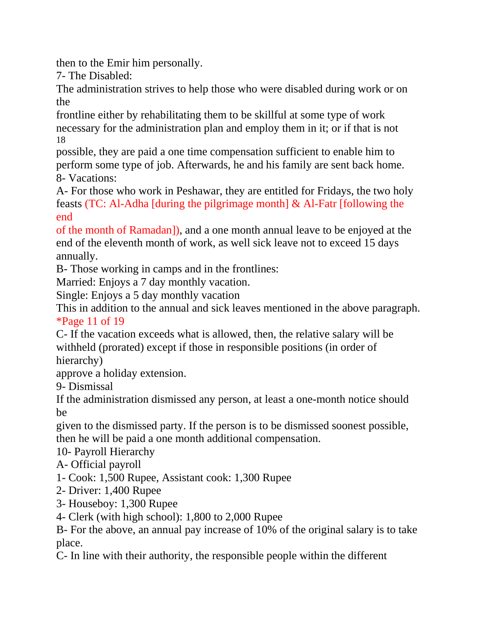then to the Emir him personally.

7- The Disabled:

The administration strives to help those who were disabled during work or on the

frontline either by rehabilitating them to be skillful at some type of work necessary for the administration plan and employ them in it; or if that is not 18

possible, they are paid a one time compensation sufficient to enable him to perform some type of job. Afterwards, he and his family are sent back home. 8- Vacations:

A- For those who work in Peshawar, they are entitled for Fridays, the two holy feasts (TC: Al-Adha [during the pilgrimage month] & Al-Fatr [following the end

of the month of Ramadan]), and a one month annual leave to be enjoyed at the end of the eleventh month of work, as well sick leave not to exceed 15 days annually.

B- Those working in camps and in the frontlines:

Married: Enjoys a 7 day monthly vacation.

Single: Enjoys a 5 day monthly vacation

This in addition to the annual and sick leaves mentioned in the above paragraph. \*Page 11 of 19

C- If the vacation exceeds what is allowed, then, the relative salary will be withheld (prorated) except if those in responsible positions (in order of hierarchy)

approve a holiday extension.

9- Dismissal

If the administration dismissed any person, at least a one-month notice should be

given to the dismissed party. If the person is to be dismissed soonest possible, then he will be paid a one month additional compensation.

10- Payroll Hierarchy

A- Official payroll

- 1- Cook: 1,500 Rupee, Assistant cook: 1,300 Rupee
- 2- Driver: 1,400 Rupee
- 3- Houseboy: 1,300 Rupee

4- Clerk (with high school): 1,800 to 2,000 Rupee

B- For the above, an annual pay increase of 10% of the original salary is to take place.

C- In line with their authority, the responsible people within the different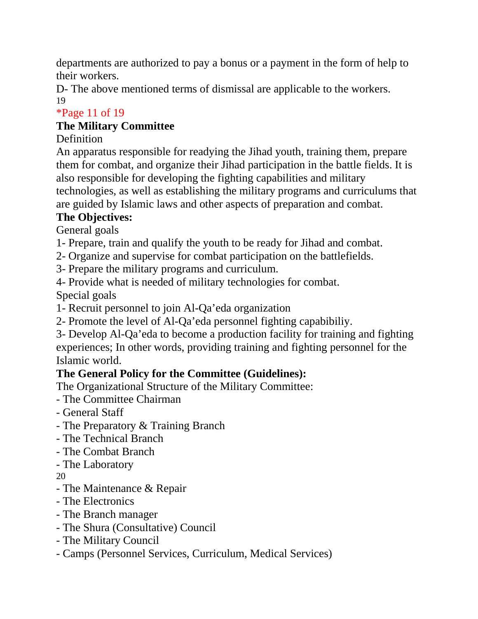departments are authorized to pay a bonus or a payment in the form of help to their workers.

D- The above mentioned terms of dismissal are applicable to the workers. 19

## \*Page 11 of 19

## **The Military Committee**

## Definition

An apparatus responsible for readying the Jihad youth, training them, prepare them for combat, and organize their Jihad participation in the battle fields. It is also responsible for developing the fighting capabilities and military technologies, as well as establishing the military programs and curriculums that are guided by Islamic laws and other aspects of preparation and combat.

## **The Objectives:**

General goals

- 1- Prepare, train and qualify the youth to be ready for Jihad and combat.
- 2- Organize and supervise for combat participation on the battlefields.
- 3- Prepare the military programs and curriculum.

4- Provide what is needed of military technologies for combat.

Special goals

- 1- Recruit personnel to join Al-Qa'eda organization
- 2- Promote the level of Al-Qa'eda personnel fighting capabibiliy.
- 3- Develop Al-Qa'eda to become a production facility for training and fighting experiences; In other words, providing training and fighting personnel for the Islamic world.

## **The General Policy for the Committee (Guidelines):**

The Organizational Structure of the Military Committee:

- The Committee Chairman
- General Staff
- The Preparatory & Training Branch
- The Technical Branch
- The Combat Branch
- The Laboratory

20

- The Maintenance & Repair
- The Electronics
- The Branch manager
- The Shura (Consultative) Council
- The Military Council
- Camps (Personnel Services, Curriculum, Medical Services)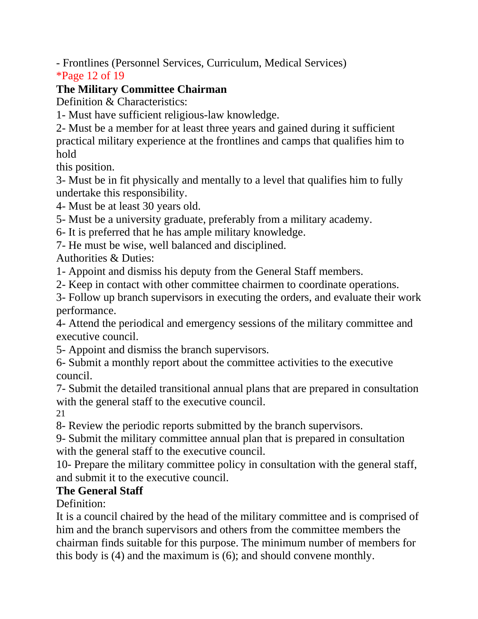- Frontlines (Personnel Services, Curriculum, Medical Services)

\*Page 12 of 19

## **The Military Committee Chairman**

Definition & Characteristics:

1- Must have sufficient religious-law knowledge.

2- Must be a member for at least three years and gained during it sufficient practical military experience at the frontlines and camps that qualifies him to hold

this position.

3- Must be in fit physically and mentally to a level that qualifies him to fully undertake this responsibility.

4- Must be at least 30 years old.

5- Must be a university graduate, preferably from a military academy.

6- It is preferred that he has ample military knowledge.

7- He must be wise, well balanced and disciplined.

Authorities & Duties:

1- Appoint and dismiss his deputy from the General Staff members.

2- Keep in contact with other committee chairmen to coordinate operations.

3- Follow up branch supervisors in executing the orders, and evaluate their work performance.

4- Attend the periodical and emergency sessions of the military committee and executive council.

5- Appoint and dismiss the branch supervisors.

6- Submit a monthly report about the committee activities to the executive council.

7- Submit the detailed transitional annual plans that are prepared in consultation with the general staff to the executive council.

21

8- Review the periodic reports submitted by the branch supervisors.

9- Submit the military committee annual plan that is prepared in consultation with the general staff to the executive council.

10- Prepare the military committee policy in consultation with the general staff, and submit it to the executive council.

# **The General Staff**

Definition:

It is a council chaired by the head of the military committee and is comprised of him and the branch supervisors and others from the committee members the chairman finds suitable for this purpose. The minimum number of members for this body is (4) and the maximum is (6); and should convene monthly.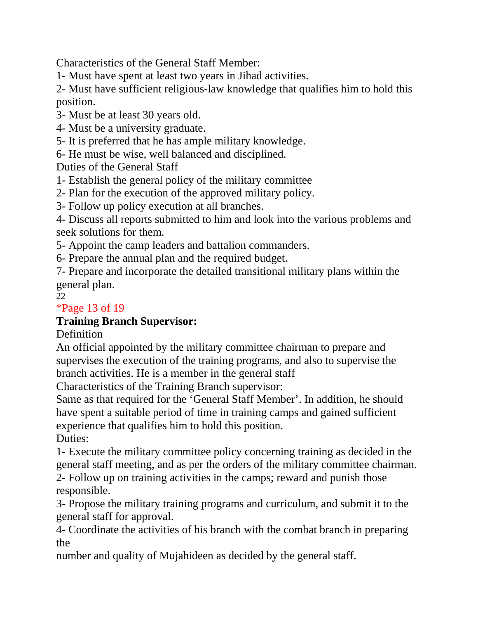Characteristics of the General Staff Member:

1- Must have spent at least two years in Jihad activities.

2- Must have sufficient religious-law knowledge that qualifies him to hold this position.

3- Must be at least 30 years old.

4- Must be a university graduate.

5- It is preferred that he has ample military knowledge.

6- He must be wise, well balanced and disciplined.

Duties of the General Staff

1- Establish the general policy of the military committee

2- Plan for the execution of the approved military policy.

3- Follow up policy execution at all branches.

4- Discuss all reports submitted to him and look into the various problems and seek solutions for them.

5- Appoint the camp leaders and battalion commanders.

6- Prepare the annual plan and the required budget.

7- Prepare and incorporate the detailed transitional military plans within the general plan.

22

### \*Page 13 of 19

### **Training Branch Supervisor:**

**Definition** 

An official appointed by the military committee chairman to prepare and supervises the execution of the training programs, and also to supervise the branch activities. He is a member in the general staff

Characteristics of the Training Branch supervisor:

Same as that required for the 'General Staff Member'. In addition, he should have spent a suitable period of time in training camps and gained sufficient experience that qualifies him to hold this position. Duties:

1- Execute the military committee policy concerning training as decided in the general staff meeting, and as per the orders of the military committee chairman.

2- Follow up on training activities in the camps; reward and punish those responsible.

3- Propose the military training programs and curriculum, and submit it to the general staff for approval.

4- Coordinate the activities of his branch with the combat branch in preparing the

number and quality of Mujahideen as decided by the general staff.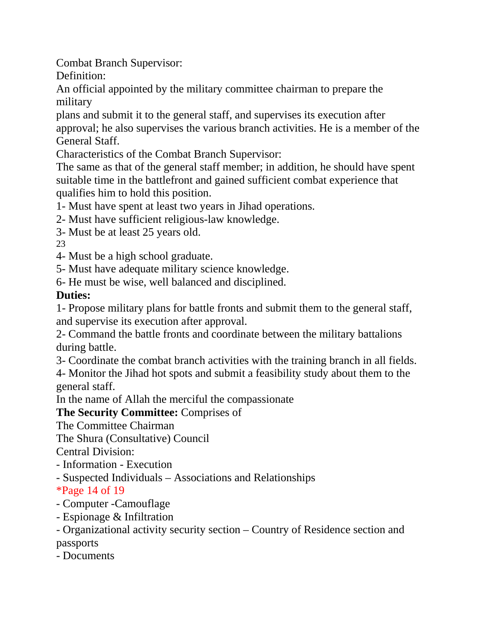Combat Branch Supervisor:

Definition:

An official appointed by the military committee chairman to prepare the military

plans and submit it to the general staff, and supervises its execution after approval; he also supervises the various branch activities. He is a member of the General Staff.

Characteristics of the Combat Branch Supervisor:

The same as that of the general staff member; in addition, he should have spent suitable time in the battlefront and gained sufficient combat experience that qualifies him to hold this position.

1- Must have spent at least two years in Jihad operations.

2- Must have sufficient religious-law knowledge.

3- Must be at least 25 years old.

23

4- Must be a high school graduate.

5- Must have adequate military science knowledge.

6- He must be wise, well balanced and disciplined.

## **Duties:**

1- Propose military plans for battle fronts and submit them to the general staff, and supervise its execution after approval.

2- Command the battle fronts and coordinate between the military battalions during battle.

3- Coordinate the combat branch activities with the training branch in all fields.

4- Monitor the Jihad hot spots and submit a feasibility study about them to the general staff.

In the name of Allah the merciful the compassionate

**The Security Committee:** Comprises of

The Committee Chairman

The Shura (Consultative) Council

Central Division:

- Information Execution
- Suspected Individuals Associations and Relationships

\*Page 14 of 19

- Computer -Camouflage
- Espionage & Infiltration

- Organizational activity security section – Country of Residence section and passports

- Documents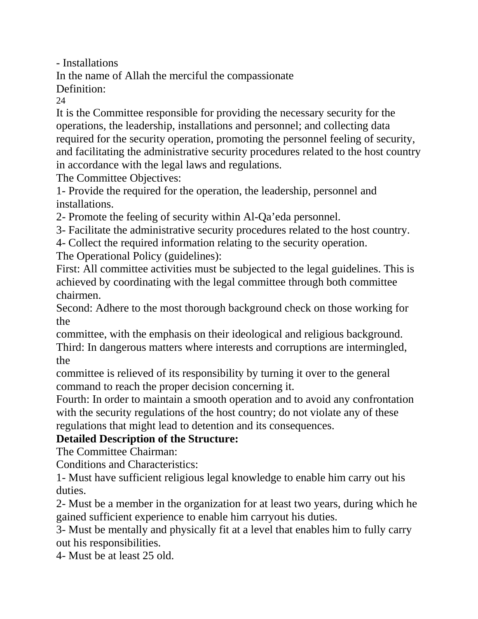- Installations

In the name of Allah the merciful the compassionate

Definition:

24

It is the Committee responsible for providing the necessary security for the operations, the leadership, installations and personnel; and collecting data required for the security operation, promoting the personnel feeling of security, and facilitating the administrative security procedures related to the host country in accordance with the legal laws and regulations.

The Committee Objectives:

1- Provide the required for the operation, the leadership, personnel and installations.

2- Promote the feeling of security within Al-Qa'eda personnel.

3- Facilitate the administrative security procedures related to the host country.

4- Collect the required information relating to the security operation.

The Operational Policy (guidelines):

First: All committee activities must be subjected to the legal guidelines. This is achieved by coordinating with the legal committee through both committee chairmen.

Second: Adhere to the most thorough background check on those working for the

committee, with the emphasis on their ideological and religious background. Third: In dangerous matters where interests and corruptions are intermingled, the

committee is relieved of its responsibility by turning it over to the general command to reach the proper decision concerning it.

Fourth: In order to maintain a smooth operation and to avoid any confrontation with the security regulations of the host country; do not violate any of these regulations that might lead to detention and its consequences.

### **Detailed Description of the Structure:**

The Committee Chairman:

Conditions and Characteristics:

1- Must have sufficient religious legal knowledge to enable him carry out his duties.

2- Must be a member in the organization for at least two years, during which he gained sufficient experience to enable him carryout his duties.

3- Must be mentally and physically fit at a level that enables him to fully carry out his responsibilities.

4- Must be at least 25 old.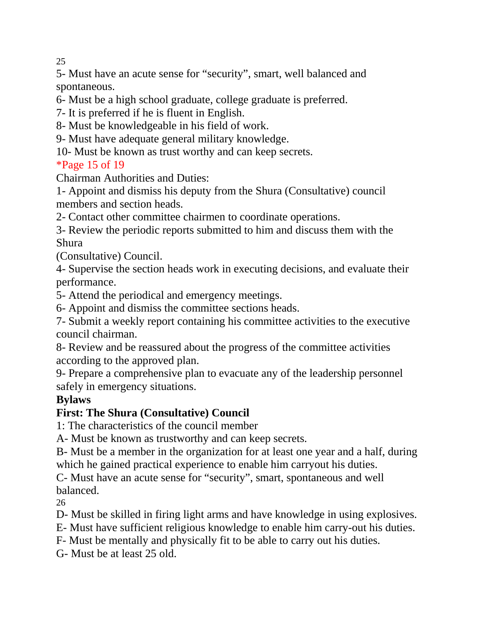25

5- Must have an acute sense for "security", smart, well balanced and spontaneous.

6- Must be a high school graduate, college graduate is preferred.

7- It is preferred if he is fluent in English.

8- Must be knowledgeable in his field of work.

9- Must have adequate general military knowledge.

10- Must be known as trust worthy and can keep secrets.

### \*Page 15 of 19

Chairman Authorities and Duties:

1- Appoint and dismiss his deputy from the Shura (Consultative) council members and section heads.

2- Contact other committee chairmen to coordinate operations.

3- Review the periodic reports submitted to him and discuss them with the Shura

(Consultative) Council.

4- Supervise the section heads work in executing decisions, and evaluate their performance.

5- Attend the periodical and emergency meetings.

6- Appoint and dismiss the committee sections heads.

7- Submit a weekly report containing his committee activities to the executive council chairman.

8- Review and be reassured about the progress of the committee activities according to the approved plan.

9- Prepare a comprehensive plan to evacuate any of the leadership personnel safely in emergency situations.

### **Bylaws**

### **First: The Shura (Consultative) Council**

1: The characteristics of the council member

A- Must be known as trustworthy and can keep secrets.

B- Must be a member in the organization for at least one year and a half, during which he gained practical experience to enable him carryout his duties.

C- Must have an acute sense for "security", smart, spontaneous and well balanced.

26

D- Must be skilled in firing light arms and have knowledge in using explosives.

E- Must have sufficient religious knowledge to enable him carry-out his duties.

F- Must be mentally and physically fit to be able to carry out his duties.

G- Must be at least 25 old.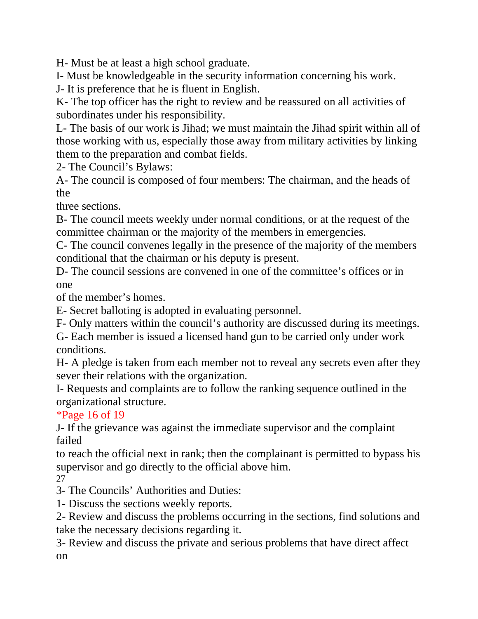H- Must be at least a high school graduate.

I- Must be knowledgeable in the security information concerning his work.

J- It is preference that he is fluent in English.

K- The top officer has the right to review and be reassured on all activities of subordinates under his responsibility.

L- The basis of our work is Jihad; we must maintain the Jihad spirit within all of those working with us, especially those away from military activities by linking them to the preparation and combat fields.

2- The Council's Bylaws:

A- The council is composed of four members: The chairman, and the heads of the

three sections.

B- The council meets weekly under normal conditions, or at the request of the committee chairman or the majority of the members in emergencies.

C- The council convenes legally in the presence of the majority of the members conditional that the chairman or his deputy is present.

D- The council sessions are convened in one of the committee's offices or in one

of the member's homes.

E- Secret balloting is adopted in evaluating personnel.

F- Only matters within the council's authority are discussed during its meetings.

G- Each member is issued a licensed hand gun to be carried only under work conditions.

H- A pledge is taken from each member not to reveal any secrets even after they sever their relations with the organization.

I- Requests and complaints are to follow the ranking sequence outlined in the organizational structure.

\*Page 16 of 19

J- If the grievance was against the immediate supervisor and the complaint failed

to reach the official next in rank; then the complainant is permitted to bypass his supervisor and go directly to the official above him.

27

3- The Councils' Authorities and Duties:

1- Discuss the sections weekly reports.

2- Review and discuss the problems occurring in the sections, find solutions and take the necessary decisions regarding it.

3- Review and discuss the private and serious problems that have direct affect on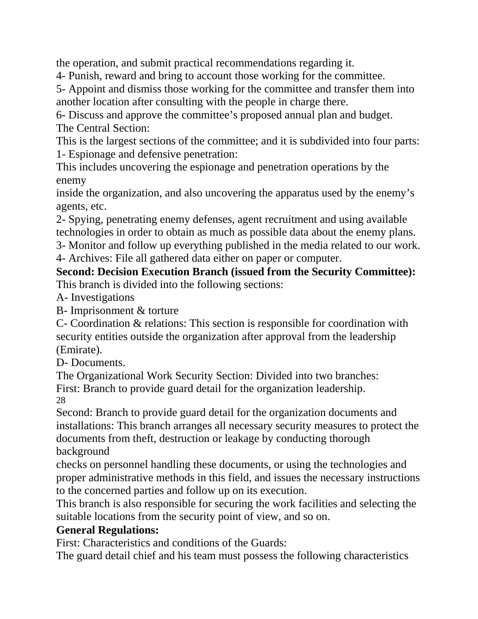the operation, and submit practical recommendations regarding it.

4- Punish, reward and bring to account those working for the committee.

5- Appoint and dismiss those working for the committee and transfer them into another location after consulting with the people in charge there.

6- Discuss and approve the committee's proposed annual plan and budget. The Central Section:

This is the largest sections of the committee; and it is subdivided into four parts: 1- Espionage and defensive penetration:

This includes uncovering the espionage and penetration operations by the enemy

inside the organization, and also uncovering the apparatus used by the enemy's agents, etc.

2- Spying, penetrating enemy defenses, agent recruitment and using available technologies in order to obtain as much as possible data about the enemy plans.

3- Monitor and follow up everything published in the media related to our work. 4- Archives: File all gathered data either on paper or computer.

**Second: Decision Execution Branch (issued from the Security Committee):** This branch is divided into the following sections:

A- Investigations

B- Imprisonment & torture

C- Coordination & relations: This section is responsible for coordination with security entities outside the organization after approval from the leadership (Emirate).

D- Documents.

The Organizational Work Security Section: Divided into two branches: First: Branch to provide guard detail for the organization leadership. 28

Second: Branch to provide guard detail for the organization documents and installations: This branch arranges all necessary security measures to protect the documents from theft, destruction or leakage by conducting thorough background

checks on personnel handling these documents, or using the technologies and proper administrative methods in this field, and issues the necessary instructions to the concerned parties and follow up on its execution.

This branch is also responsible for securing the work facilities and selecting the suitable locations from the security point of view, and so on.

### **General Regulations:**

First: Characteristics and conditions of the Guards:

The guard detail chief and his team must possess the following characteristics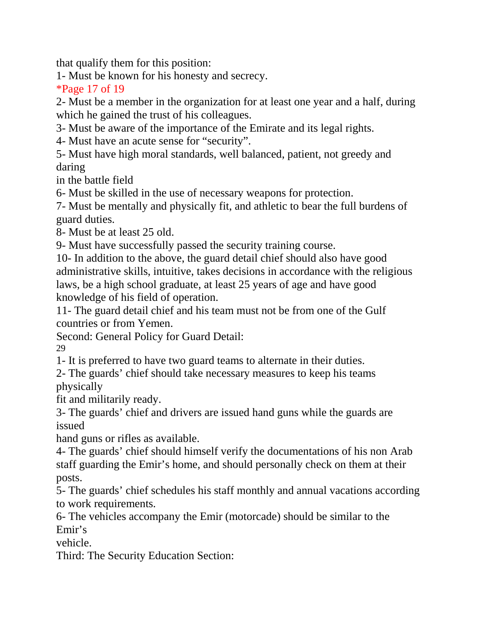that qualify them for this position:

1- Must be known for his honesty and secrecy.

\*Page 17 of 19

2- Must be a member in the organization for at least one year and a half, during which he gained the trust of his colleagues.

3- Must be aware of the importance of the Emirate and its legal rights.

4- Must have an acute sense for "security".

5- Must have high moral standards, well balanced, patient, not greedy and daring

in the battle field

6- Must be skilled in the use of necessary weapons for protection.

7- Must be mentally and physically fit, and athletic to bear the full burdens of guard duties.

8- Must be at least 25 old.

9- Must have successfully passed the security training course.

10- In addition to the above, the guard detail chief should also have good administrative skills, intuitive, takes decisions in accordance with the religious laws, be a high school graduate, at least 25 years of age and have good knowledge of his field of operation.

11- The guard detail chief and his team must not be from one of the Gulf countries or from Yemen.

Second: General Policy for Guard Detail:

29

1- It is preferred to have two guard teams to alternate in their duties.

2- The guards' chief should take necessary measures to keep his teams physically

fit and militarily ready.

3- The guards' chief and drivers are issued hand guns while the guards are issued

hand guns or rifles as available.

4- The guards' chief should himself verify the documentations of his non Arab staff guarding the Emir's home, and should personally check on them at their posts.

5- The guards' chief schedules his staff monthly and annual vacations according to work requirements.

6- The vehicles accompany the Emir (motorcade) should be similar to the Emir's

vehicle.

Third: The Security Education Section: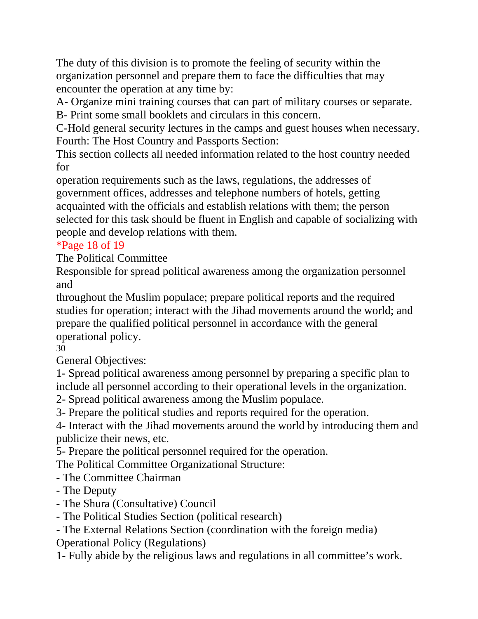The duty of this division is to promote the feeling of security within the organization personnel and prepare them to face the difficulties that may encounter the operation at any time by:

A- Organize mini training courses that can part of military courses or separate. B- Print some small booklets and circulars in this concern.

C-Hold general security lectures in the camps and guest houses when necessary. Fourth: The Host Country and Passports Section:

This section collects all needed information related to the host country needed for

operation requirements such as the laws, regulations, the addresses of government offices, addresses and telephone numbers of hotels, getting acquainted with the officials and establish relations with them; the person selected for this task should be fluent in English and capable of socializing with people and develop relations with them.

### \*Page 18 of 19

The Political Committee

Responsible for spread political awareness among the organization personnel and

throughout the Muslim populace; prepare political reports and the required studies for operation; interact with the Jihad movements around the world; and prepare the qualified political personnel in accordance with the general operational policy.

30

General Objectives:

1- Spread political awareness among personnel by preparing a specific plan to include all personnel according to their operational levels in the organization.

2- Spread political awareness among the Muslim populace.

3- Prepare the political studies and reports required for the operation.

4- Interact with the Jihad movements around the world by introducing them and publicize their news, etc.

5- Prepare the political personnel required for the operation.

The Political Committee Organizational Structure:

- The Committee Chairman
- The Deputy
- The Shura (Consultative) Council
- The Political Studies Section (political research)

- The External Relations Section (coordination with the foreign media) Operational Policy (Regulations)

1- Fully abide by the religious laws and regulations in all committee's work.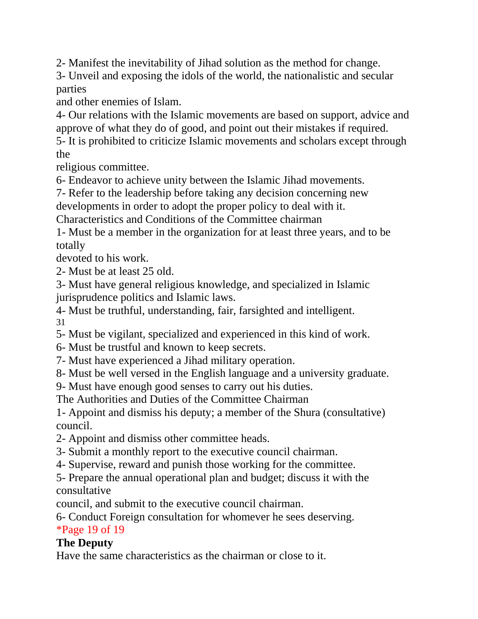2- Manifest the inevitability of Jihad solution as the method for change.

3- Unveil and exposing the idols of the world, the nationalistic and secular parties

and other enemies of Islam.

4- Our relations with the Islamic movements are based on support, advice and approve of what they do of good, and point out their mistakes if required.

5- It is prohibited to criticize Islamic movements and scholars except through the

religious committee.

6- Endeavor to achieve unity between the Islamic Jihad movements.

7- Refer to the leadership before taking any decision concerning new

developments in order to adopt the proper policy to deal with it.

Characteristics and Conditions of the Committee chairman

1- Must be a member in the organization for at least three years, and to be totally

devoted to his work.

2- Must be at least 25 old.

3- Must have general religious knowledge, and specialized in Islamic jurisprudence politics and Islamic laws.

4- Must be truthful, understanding, fair, farsighted and intelligent. 31

5- Must be vigilant, specialized and experienced in this kind of work.

6- Must be trustful and known to keep secrets.

7- Must have experienced a Jihad military operation.

8- Must be well versed in the English language and a university graduate.

9- Must have enough good senses to carry out his duties.

The Authorities and Duties of the Committee Chairman

1- Appoint and dismiss his deputy; a member of the Shura (consultative) council.

2- Appoint and dismiss other committee heads.

3- Submit a monthly report to the executive council chairman.

4- Supervise, reward and punish those working for the committee.

5- Prepare the annual operational plan and budget; discuss it with the consultative

council, and submit to the executive council chairman.

6- Conduct Foreign consultation for whomever he sees deserving.

### \*Page 19 of 19

### **The Deputy**

Have the same characteristics as the chairman or close to it.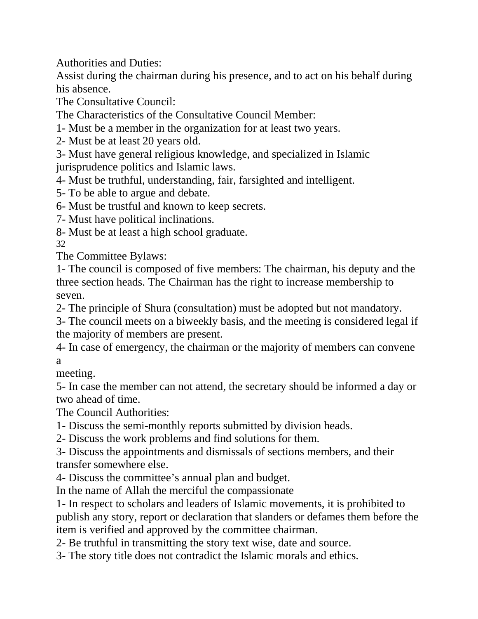Authorities and Duties:

Assist during the chairman during his presence, and to act on his behalf during his absence.

The Consultative Council:

The Characteristics of the Consultative Council Member:

1- Must be a member in the organization for at least two years.

2- Must be at least 20 years old.

3- Must have general religious knowledge, and specialized in Islamic jurisprudence politics and Islamic laws.

4- Must be truthful, understanding, fair, farsighted and intelligent.

5- To be able to argue and debate.

6- Must be trustful and known to keep secrets.

7- Must have political inclinations.

8- Must be at least a high school graduate.

32

The Committee Bylaws:

1- The council is composed of five members: The chairman, his deputy and the three section heads. The Chairman has the right to increase membership to seven.

2- The principle of Shura (consultation) must be adopted but not mandatory.

3- The council meets on a biweekly basis, and the meeting is considered legal if the majority of members are present.

4- In case of emergency, the chairman or the majority of members can convene a

meeting.

5- In case the member can not attend, the secretary should be informed a day or two ahead of time.

The Council Authorities:

1- Discuss the semi-monthly reports submitted by division heads.

2- Discuss the work problems and find solutions for them.

3- Discuss the appointments and dismissals of sections members, and their transfer somewhere else.

4- Discuss the committee's annual plan and budget.

In the name of Allah the merciful the compassionate

1- In respect to scholars and leaders of Islamic movements, it is prohibited to publish any story, report or declaration that slanders or defames them before the item is verified and approved by the committee chairman.

2- Be truthful in transmitting the story text wise, date and source.

3- The story title does not contradict the Islamic morals and ethics.